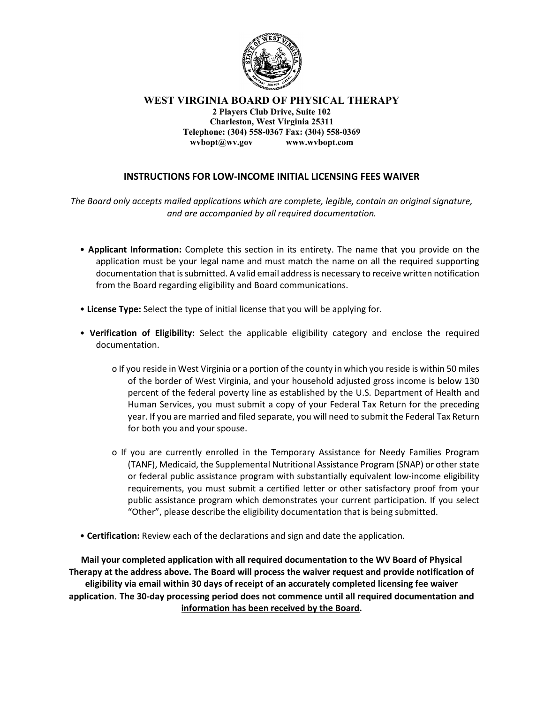

WEST VIRGINIA BOARD OF PHYSICAL THERAPY 2 Players Club Drive, Suite 102 Charleston, West Virginia 25311 Telephone: (304) 558-0367 Fax: (304) 558-0369 wvbopt@wv.gov www.wvbopt.com

## INSTRUCTIONS FOR LOW-INCOME INITIAL LICENSING FEES WAIVER

The Board only accepts mailed applications which are complete, legible, contain an original signature, and are accompanied by all required documentation.

- Applicant Information: Complete this section in its entirety. The name that you provide on the application must be your legal name and must match the name on all the required supporting documentation that is submitted. A valid email address is necessary to receive written notification from the Board regarding eligibility and Board communications.
- License Type: Select the type of initial license that you will be applying for.
- Verification of Eligibility: Select the applicable eligibility category and enclose the required documentation.
	- o If you reside in West Virginia or a portion of the county in which you reside is within 50 miles of the border of West Virginia, and your household adjusted gross income is below 130 percent of the federal poverty line as established by the U.S. Department of Health and Human Services, you must submit a copy of your Federal Tax Return for the preceding year. If you are married and filed separate, you will need to submit the Federal Tax Return for both you and your spouse.
	- o If you are currently enrolled in the Temporary Assistance for Needy Families Program (TANF), Medicaid, the Supplemental Nutritional Assistance Program (SNAP) or other state or federal public assistance program with substantially equivalent low-income eligibility requirements, you must submit a certified letter or other satisfactory proof from your public assistance program which demonstrates your current participation. If you select "Other", please describe the eligibility documentation that is being submitted.
- Certification: Review each of the declarations and sign and date the application.

Mail your completed application with all required documentation to the WV Board of Physical Therapy at the address above. The Board will process the waiver request and provide notification of eligibility via email within 30 days of receipt of an accurately completed licensing fee waiver application. The 30-day processing period does not commence until all required documentation and information has been received by the Board.